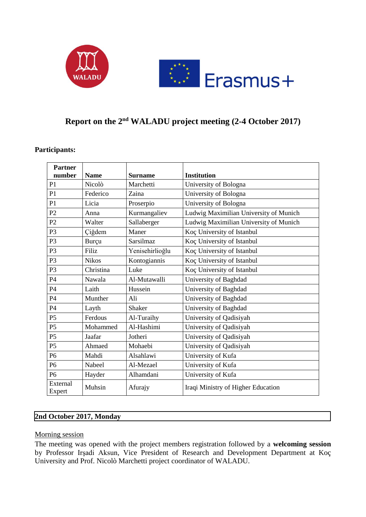



# **Report on the 2 nd WALADU project meeting (2-4 October 2017)**

#### **Participants:**

| <b>Partner</b><br>number | <b>Name</b>  | <b>Surname</b>  | <b>Institution</b>                     |
|--------------------------|--------------|-----------------|----------------------------------------|
| P1                       | Nicolò       | Marchetti       | University of Bologna                  |
| P1                       | Federico     | Zaina           | University of Bologna                  |
| P1                       | Licia        | Proserpio       | University of Bologna                  |
| P <sub>2</sub>           | Anna         | Kurmangaliev    | Ludwig Maximilian University of Munich |
| P <sub>2</sub>           | Walter       | Sallaberger     | Ludwig Maximilian University of Munich |
| P <sub>3</sub>           | Çiğdem       | Maner           | Koç University of Istanbul             |
| P <sub>3</sub>           | Burçu        | Sarsilmaz       | Koç University of Istanbul             |
| P <sub>3</sub>           | Filiz        | Yenisehirlioğlu | Koç University of Istanbul             |
| P <sub>3</sub>           | <b>Nikos</b> | Kontogiannis    | Koç University of Istanbul             |
| P <sub>3</sub>           | Christina    | Luke            | Koç University of Istanbul             |
| P <sub>4</sub>           | Nawala       | Al-Mutawalli    | University of Baghdad                  |
| P <sub>4</sub>           | Laith        | Hussein         | University of Baghdad                  |
| P <sub>4</sub>           | Munther      | Ali             | University of Baghdad                  |
| P4                       | Layth        | Shaker          | University of Baghdad                  |
| P <sub>5</sub>           | Ferdous      | Al-Turaihy      | University of Qadisiyah                |
| P <sub>5</sub>           | Mohammed     | Al-Hashimi      | University of Qadisiyah                |
| P <sub>5</sub>           | Jaafar       | Jotheri         | University of Qadisiyah                |
| P <sub>5</sub>           | Ahmaed       | Mohaebi         | University of Qadisiyah                |
| P <sub>6</sub>           | Mahdi        | Alsahlawi       | University of Kufa                     |
| <b>P6</b>                | Nabeel       | Al-Mezael       | University of Kufa                     |
| P <sub>6</sub>           | Hayder       | Alhamdani       | University of Kufa                     |
| External<br>Expert       | Muhsin       | Afurajy         | Iraqi Ministry of Higher Education     |

# **2nd October 2017, Monday**

#### Morning session

The meeting was opened with the project members registration followed by a **welcoming session** by Professor Irşadi Aksun, Vice President of Research and Development Department at Koç University and Prof. Nicolò Marchetti project coordinator of WALADU.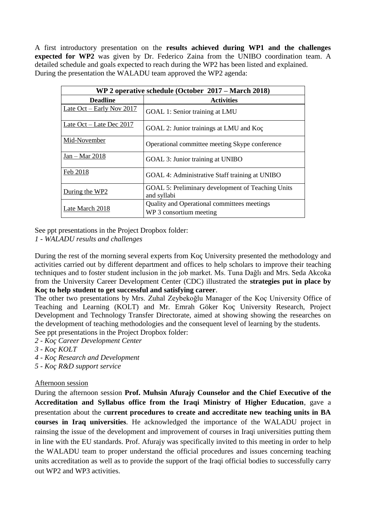A first introductory presentation on the **results achieved during WP1 and the challenges expected for WP2** was given by Dr. Federico Zaina from the UNIBO coordination team. A detailed schedule and goals expected to reach during the WP2 has been listed and explained. During the presentation the WALADU team approved the WP2 agenda:

| WP 2 operative schedule (October 2017 – March 2018) |                                                                  |  |
|-----------------------------------------------------|------------------------------------------------------------------|--|
| <b>Deadline</b>                                     | <b>Activities</b>                                                |  |
| Late $Oct - Early Nov 2017$                         | GOAL 1: Senior training at LMU                                   |  |
| Late $Oct - Late$ Dec 2017                          | GOAL 2: Junior trainings at LMU and Koç                          |  |
| Mid-November                                        | Operational committee meeting Skype conference                   |  |
| $Jan - Mar 2018$                                    | GOAL 3: Junior training at UNIBO                                 |  |
| Feb 2018                                            | GOAL 4: Administrative Staff training at UNIBO                   |  |
| During the WP2                                      | GOAL 5: Preliminary development of Teaching Units<br>and syllabi |  |
| Late March 2018                                     | Quality and Operational committees meetings                      |  |
|                                                     | WP 3 consortium meeting                                          |  |

See ppt presentations in the Project Dropbox folder:

*1 - WALADU results and challenges*

During the rest of the morning several experts from Koç University presented the methodology and activities carried out by different department and offices to help scholars to improve their teaching techniques and to foster student inclusion in the job market. Ms. Tuna Dağlı and Mrs. Seda Akcoka from the University Career Development Center (CDC) illustrated the **strategies put in place by Koç to help student to get successful and satisfying career**.

The other two presentations by Mrs. Zuhal Zeybekoğlu Manager of the Koç University Office of Teaching and Learning (KOLT) and Mr. Emrah Göker Koç University Research, Project Development and Technology Transfer Directorate, aimed at showing showing the researches on the development of teaching methodologies and the consequent level of learning by the students. See ppt presentations in the Project Dropbox folder:

*2 - Koç Career Development Center*

- *3 - Koç KOLT*
- *4 - Koç Research and Development*
- *5 - Koç R&D support service*

## Afternoon session

During the afternoon session **Prof. Muhsin Afurajy Counselor and the Chief Executive of the Accreditation and Syllabus office from the Iraqi Ministry of Higher Education**, gave a presentation about the c**urrent procedures to create and accreditate new teaching units in BA courses in Iraq universities**. He acknowledged the importance of the WALADU project in rainsing the issue of the development and improvement of courses in Iraqi universities putting them in line with the EU standards. Prof. Afurajy was specifically invited to this meeting in order to help the WALADU team to proper understand the official procedures and issues concerning teaching units accreditation as well as to provide the support of the Iraqi official bodies to successfully carry out WP2 and WP3 activities.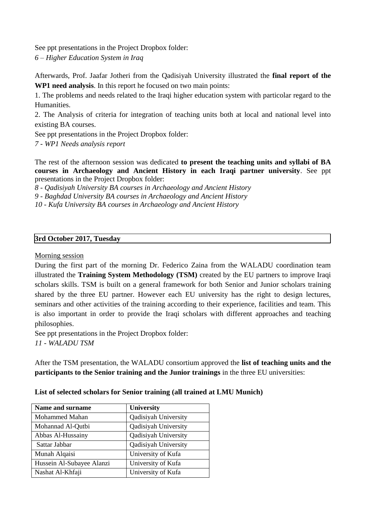See ppt presentations in the Project Dropbox folder: *6 – Higher Education System in Iraq*

Afterwards, Prof. Jaafar Jotheri from the Qadisiyah University illustrated the **final report of the WP1 need analysis**. In this report he focused on two main points:

1. The problems and needs related to the Iraqi higher education system with particolar regard to the Humanities.

2. The Analysis of criteria for integration of teaching units both at local and national level into existing BA courses.

See ppt presentations in the Project Dropbox folder:

*7 - WP1 Needs analysis report*

The rest of the afternoon session was dedicated **to present the teaching units and syllabi of BA courses in Archaeology and Ancient History in each Iraqi partner university**. See ppt presentations in the Project Dropbox folder:

*8 - Qadisiyah University BA courses in Archaeology and Ancient History*

*9 - Baghdad University BA courses in Archaeology and Ancient History*

*10 - Kufa University BA courses in Archaeology and Ancient History*

#### **3rd October 2017, Tuesday**

### Morning session

During the first part of the morning Dr. Federico Zaina from the WALADU coordination team illustrated the **Training System Methodology (TSM)** created by the EU partners to improve Iraqi scholars skills. TSM is built on a general framework for both Senior and Junior scholars training shared by the three EU partner. However each EU university has the right to design lectures, seminars and other activities of the training according to their experience, facilities and team. This is also important in order to provide the Iraqi scholars with different approaches and teaching philosophies.

See ppt presentations in the Project Dropbox folder:

*11 - WALADU TSM*

After the TSM presentation, the WALADU consortium approved the **list of teaching units and the participants to the Senior training and the Junior trainings** in the three EU universities:

**List of selected scholars for Senior training (all trained at LMU Munich)**

| <b>Name and surname</b>   | <b>University</b>    |
|---------------------------|----------------------|
| Mohammed Mahan            | Qadisiyah University |
| Mohannad Al-Qutbi         | Qadisiyah University |
| Abbas Al-Hussainy         | Qadisiyah University |
| Sattar Jabbar             | Qadisiyah University |
| Munah Alqaisi             | University of Kufa   |
| Hussein Al-Subayee Alanzi | University of Kufa   |
| Nashat Al-Khfaji          | University of Kufa   |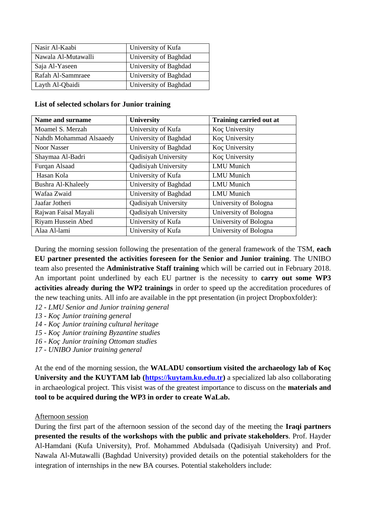| Nasir Al-Kaabi      | University of Kufa    |
|---------------------|-----------------------|
| Nawala Al-Mutawalli | University of Baghdad |
| Saja Al-Yaseen      | University of Baghdad |
| Rafah Al-Sammraee   | University of Baghdad |
| Layth Al-Qbaidi     | University of Baghdad |

|  | List of selected scholars for Junior training |  |  |
|--|-----------------------------------------------|--|--|
|  |                                               |  |  |

| Name and surname        | <b>University</b>           | Training carried out at |
|-------------------------|-----------------------------|-------------------------|
| Moamel S. Merzah        | University of Kufa          | Koç University          |
| Nahdh Mohammad Alsaaedy | University of Baghdad       | Koç University          |
| <b>Noor Nasser</b>      | University of Baghdad       | Koç University          |
| Shaymaa Al-Badri        | <b>Qadisiyah University</b> | Koç University          |
| Furqan Alsaad           | <b>Qadisiyah University</b> | <b>LMU</b> Munich       |
| Hasan Kola              | University of Kufa          | <b>LMU</b> Munich       |
| Bushra Al-Khaleely      | University of Baghdad       | <b>LMU</b> Munich       |
| Wafaa Zwaid             | University of Baghdad       | <b>LMU</b> Munich       |
| Jaafar Jotheri          | <b>Qadisiyah University</b> | University of Bologna   |
| Rajwan Faisal Mayali    | Qadisiyah University        | University of Bologna   |
| Riyam Hussein Abed      | University of Kufa          | University of Bologna   |
| Alaa Al-lami            | University of Kufa          | University of Bologna   |

During the morning session following the presentation of the general framework of the TSM, **each EU partner presented the activities foreseen for the Senior and Junior training**. The UNIBO team also presented the **Administrative Staff training** which will be carried out in February 2018. An important point underlined by each EU partner is the necessity to **carry out some WP3 activities already during the WP2 trainings** in order to speed up the accreditation procedures of the new teaching units. All info are available in the ppt presentation (in project Dropboxfolder):

- *12 - LMU Senior and Junior training general*
- *13 - Koç Junior training general*
- *14 - Koç Junior training cultural heritage*
- *15 - Koç Junior training Byzantine studies*
- *16 - Koç Junior training Ottoman studies*
- *17 - UNIBO Junior training general*

At the end of the morning session, the **WALADU consortium visited the archaeology lab of Koç University and the KUYTAM lab [\(https://kuytam.ku.edu.tr\)](https://kuytam.ku.edu.tr/)** a specialized lab also collaborating in archaeological project. This visist was of the greatest importance to discuss on the **materials and tool to be acquired during the WP3 in order to create WaLab.**

## Afternoon session

During the first part of the afternoon session of the second day of the meeting the **Iraqi partners presented the results of the workshops with the public and private stakeholders**. Prof. Hayder Al-Hamdani (Kufa University), Prof. Mohammed Abdulsada (Qadisiyah University) and Prof. Nawala Al-Mutawalli (Baghdad University) provided details on the potential stakeholders for the integration of internships in the new BA courses. Potential stakeholders include: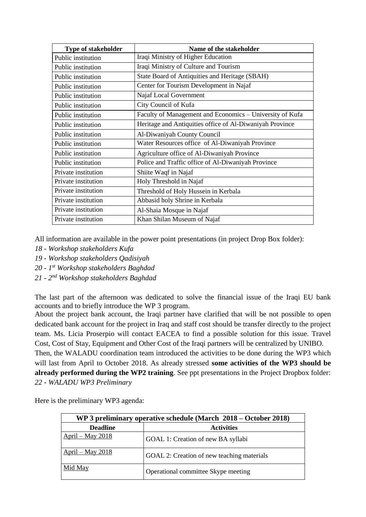| <b>Type of stakeholder</b> | Name of the stakeholder                                  |
|----------------------------|----------------------------------------------------------|
| Public institution         | Iraqi Ministry of Higher Education                       |
| Public institution         | Iraqi Ministry of Culture and Tourism                    |
| Public institution         | State Board of Antiquities and Heritage (SBAH)           |
| Public institution         | Center for Tourism Development in Najaf                  |
| Public institution         | Najaf Local Government                                   |
| Public institution         | City Council of Kufa                                     |
| Public institution         | Faculty of Management and Economics - University of Kufa |
| Public institution         | Heritage and Antiquities office of Al-Diwaniyah Province |
| Public institution         | Al-Diwaniyah County Council                              |
| Public institution         | Water Resources office of Al-Diwaniyah Province          |
| Public institution         | Agriculture office of Al-Diwaniyah Province              |
| Public institution         | Police and Traffic office of Al-Diwaniyah Province       |
| Private institution        | Shiite Waqf in Najaf                                     |
| Private institution        | Holy Threshold in Najaf                                  |
| Private institution        | Threshold of Holy Hussein in Kerbala                     |
| Private institution        | Abbasid holy Shrine in Kerbala                           |
| Private institution        | Al-Shaia Mosque in Najaf                                 |
| Private institution        | Khan Shilan Museum of Najaf                              |

All information are available in the power point presentations (in project Drop Box folder):

- *18 - Workshop stakeholders Kufa*
- *19 - Workshop stakeholders Qadisiyah*
- *20 - 1 st Workshop stakeholders Baghdad*
- *21 - 2 nd Workshop stakeholders Baghdad*

The last part of the afternoon was dedicated to solve the financial issue of the Iraqi EU bank accounts and to briefly introduce the WP 3 program.

About the project bank account, the Iraqi partner have clarified that will be not possible to open dedicated bank account for the project in Iraq and staff cost should be transfer directly to the project team. Ms. Licia Proserpio will contact EACEA to find a possible solution for this issue. Travel Cost, Cost of Stay, Equipment and Other Cost of the Iraqi partners will be centralized by UNIBO.

Then, the WALADU coordination team introduced the activities to be done during the WP3 which will last from April to October 2018. As already stressed **some activities of the WP3 should be already performed during the WP2 training**. See ppt presentations in the Project Dropbox folder: *22 - WALADU WP3 Preliminary*

Here is the preliminary WP3 agenda:

| WP 3 preliminary operative schedule (March 2018 – October 2018) |                                            |  |
|-----------------------------------------------------------------|--------------------------------------------|--|
| <b>Deadline</b>                                                 | <b>Activities</b>                          |  |
| $April - May 2018$                                              | GOAL 1: Creation of new BA syllabi         |  |
| $April - May 2018$                                              | GOAL 2: Creation of new teaching materials |  |
| Mid May                                                         | Operational committee Skype meeting        |  |